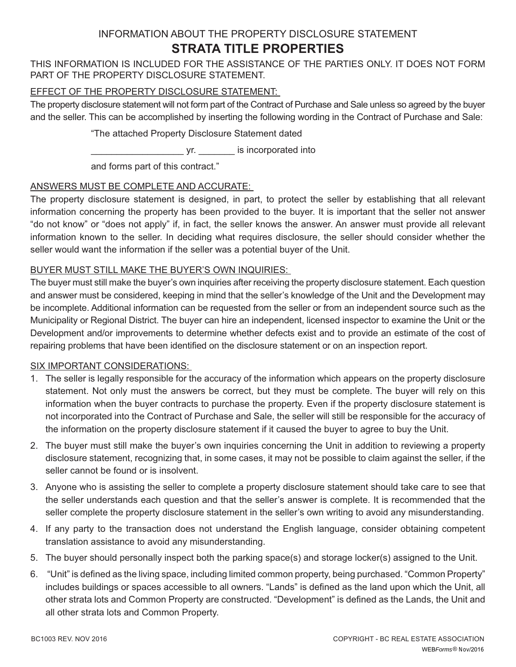# INFORMATION ABOUT THE PROPERTY DISCLOSURE STATEMENT **STRATA TITLE PROPERTIES**

THIS INFORMATION IS INCLUDED FOR THE ASSISTANCE OF THE PARTIES ONLY. IT DOES NOT FORM PART OF THE PROPERTY DISCLOSURE STATEMENT.

# EFFECT OF THE PROPERTY DISCLOSURE STATEMENT:

The property disclosure statement will not form part of the Contract of Purchase and Sale unless so agreed by the buyer and the seller. This can be accomplished by inserting the following wording in the Contract of Purchase and Sale:

"The attached Property Disclosure Statement dated

\_\_\_\_\_\_\_\_\_\_\_\_\_\_\_\_\_\_ yr. \_\_\_\_\_\_\_ is incorporated into

and forms part of this contract."

# ANSWERS MUST BE COMPLETE AND ACCURATE:

The property disclosure statement is designed, in part, to protect the seller by establishing that all relevant information concerning the property has been provided to the buyer. It is important that the seller not answer "do not know" or "does not apply" if, in fact, the seller knows the answer. An answer must provide all relevant information known to the seller. In deciding what requires disclosure, the seller should consider whether the seller would want the information if the seller was a potential buyer of the Unit.

# BUYER MUST STILL MAKE THE BUYER'S OWN INQUIRIES:

The buyer must still make the buyer's own inquiries after receiving the property disclosure statement. Each question and answer must be considered, keeping in mind that the seller's knowledge of the Unit and the Development may be incomplete. Additional information can be requested from the seller or from an independent source such as the Municipality or Regional District. The buyer can hire an independent, licensed inspector to examine the Unit or the Development and/or improvements to determine whether defects exist and to provide an estimate of the cost of repairing problems that have been identified on the disclosure statement or on an inspection report.

## SIX IMPORTANT CONSIDERATIONS:

- 1. The seller is legally responsible for the accuracy of the information which appears on the property disclosure statement. Not only must the answers be correct, but they must be complete. The buyer will rely on this information when the buyer contracts to purchase the property. Even if the property disclosure statement is not incorporated into the Contract of Purchase and Sale, the seller will still be responsible for the accuracy of the information on the property disclosure statement if it caused the buyer to agree to buy the Unit.
- 2. The buyer must still make the buyer's own inquiries concerning the Unit in addition to reviewing a property disclosure statement, recognizing that, in some cases, it may not be possible to claim against the seller, if the seller cannot be found or is insolvent.
- 3. Anyone who is assisting the seller to complete a property disclosure statement should take care to see that the seller understands each question and that the seller's answer is complete. It is recommended that the seller complete the property disclosure statement in the seller's own writing to avoid any misunderstanding.
- 4. If any party to the transaction does not understand the English language, consider obtaining competent translation assistance to avoid any misunderstanding.
- 5. The buyer should personally inspect both the parking space(s) and storage locker(s) assigned to the Unit.
- 6. "Unit" is defined as the living space, including limited common property, being purchased. "Common Property" includes buildings or spaces accessible to all owners. "Lands" is defined as the land upon which the Unit, all other strata lots and Common Property are constructed. "Development" is defined as the Lands, the Unit and all other strata lots and Common Property.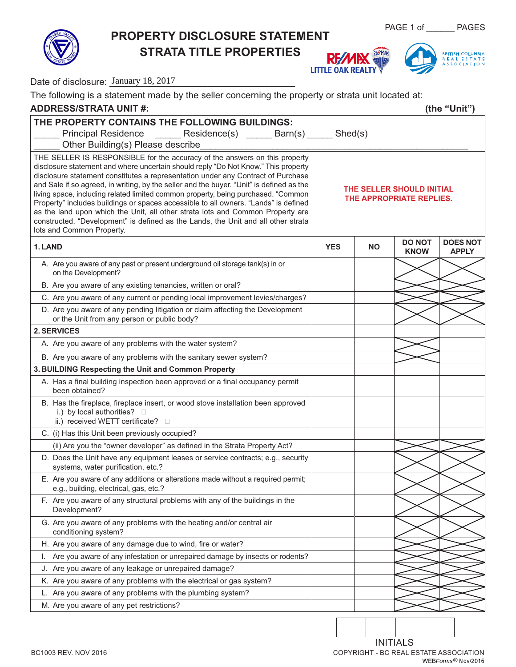**PROPERTY DISCLOSURE STATEMENT**

**STRATA TITLE PROPERTIES**

PAGE 1 of \_\_\_\_\_\_\_ PAGES





| Date of disclosure: January 18, 2017                                                                                                                                                                                                                                                                                                                                                                                                                                                                                                                                                                                                                                                                                             |                                                       |     |                              |                                 |  |  |
|----------------------------------------------------------------------------------------------------------------------------------------------------------------------------------------------------------------------------------------------------------------------------------------------------------------------------------------------------------------------------------------------------------------------------------------------------------------------------------------------------------------------------------------------------------------------------------------------------------------------------------------------------------------------------------------------------------------------------------|-------------------------------------------------------|-----|------------------------------|---------------------------------|--|--|
| The following is a statement made by the seller concerning the property or strata unit located at:                                                                                                                                                                                                                                                                                                                                                                                                                                                                                                                                                                                                                               |                                                       |     |                              |                                 |  |  |
| <b>ADDRESS/STRATA UNIT #:</b><br>(the "Unit")                                                                                                                                                                                                                                                                                                                                                                                                                                                                                                                                                                                                                                                                                    |                                                       |     |                              |                                 |  |  |
| THE PROPERTY CONTAINS THE FOLLOWING BUILDINGS:<br>Principal Residence _______ Residence(s) ______ Barn(s) _____ Shed(s)<br>Other Building(s) Please describe                                                                                                                                                                                                                                                                                                                                                                                                                                                                                                                                                                     |                                                       |     |                              |                                 |  |  |
| THE SELLER IS RESPONSIBLE for the accuracy of the answers on this property<br>disclosure statement and where uncertain should reply "Do Not Know." This property<br>disclosure statement constitutes a representation under any Contract of Purchase<br>and Sale if so agreed, in writing, by the seller and the buyer. "Unit" is defined as the<br>living space, including related limited common property, being purchased. "Common<br>Property" includes buildings or spaces accessible to all owners. "Lands" is defined<br>as the land upon which the Unit, all other strata lots and Common Property are<br>constructed. "Development" is defined as the Lands, the Unit and all other strata<br>lots and Common Property. | THE SELLER SHOULD INITIAL<br>THE APPROPRIATE REPLIES. |     |                              |                                 |  |  |
| 1. LAND                                                                                                                                                                                                                                                                                                                                                                                                                                                                                                                                                                                                                                                                                                                          | <b>YES</b>                                            | NO. | <b>DO NOT</b><br><b>KNOW</b> | <b>DOES NOT</b><br><b>APPLY</b> |  |  |
| A. Are you aware of any past or present underground oil storage tank(s) in or<br>on the Development?                                                                                                                                                                                                                                                                                                                                                                                                                                                                                                                                                                                                                             |                                                       |     |                              |                                 |  |  |
| B. Are you aware of any existing tenancies, written or oral?                                                                                                                                                                                                                                                                                                                                                                                                                                                                                                                                                                                                                                                                     |                                                       |     |                              |                                 |  |  |
| C. Are you aware of any current or pending local improvement levies/charges?                                                                                                                                                                                                                                                                                                                                                                                                                                                                                                                                                                                                                                                     |                                                       |     |                              |                                 |  |  |
| D. Are you aware of any pending litigation or claim affecting the Development<br>or the Unit from any person or public body?                                                                                                                                                                                                                                                                                                                                                                                                                                                                                                                                                                                                     |                                                       |     |                              |                                 |  |  |
| 2. SERVICES                                                                                                                                                                                                                                                                                                                                                                                                                                                                                                                                                                                                                                                                                                                      |                                                       |     |                              |                                 |  |  |
| A. Are you aware of any problems with the water system?                                                                                                                                                                                                                                                                                                                                                                                                                                                                                                                                                                                                                                                                          |                                                       |     |                              |                                 |  |  |
| B. Are you aware of any problems with the sanitary sewer system?                                                                                                                                                                                                                                                                                                                                                                                                                                                                                                                                                                                                                                                                 |                                                       |     |                              |                                 |  |  |
| 3. BUILDING Respecting the Unit and Common Property                                                                                                                                                                                                                                                                                                                                                                                                                                                                                                                                                                                                                                                                              |                                                       |     |                              |                                 |  |  |
| A. Has a final building inspection been approved or a final occupancy permit<br>been obtained?                                                                                                                                                                                                                                                                                                                                                                                                                                                                                                                                                                                                                                   |                                                       |     |                              |                                 |  |  |
| B. Has the fireplace, fireplace insert, or wood stove installation been approved<br>i.) by local authorities? $\square$<br>ii.) received WETT certificate?                                                                                                                                                                                                                                                                                                                                                                                                                                                                                                                                                                       |                                                       |     |                              |                                 |  |  |
| C. (i) Has this Unit been previously occupied?                                                                                                                                                                                                                                                                                                                                                                                                                                                                                                                                                                                                                                                                                   |                                                       |     |                              |                                 |  |  |
| (ii) Are you the "owner developer" as defined in the Strata Property Act?                                                                                                                                                                                                                                                                                                                                                                                                                                                                                                                                                                                                                                                        |                                                       |     |                              |                                 |  |  |
| D. Does the Unit have any equipment leases or service contracts; e.g., security<br>systems, water purification, etc.?                                                                                                                                                                                                                                                                                                                                                                                                                                                                                                                                                                                                            |                                                       |     |                              |                                 |  |  |
| E. Are you aware of any additions or alterations made without a required permit;<br>e.g., building, electrical, gas, etc.?                                                                                                                                                                                                                                                                                                                                                                                                                                                                                                                                                                                                       |                                                       |     |                              |                                 |  |  |
| F. Are you aware of any structural problems with any of the buildings in the<br>Development?                                                                                                                                                                                                                                                                                                                                                                                                                                                                                                                                                                                                                                     |                                                       |     |                              |                                 |  |  |
| G. Are you aware of any problems with the heating and/or central air<br>conditioning system?                                                                                                                                                                                                                                                                                                                                                                                                                                                                                                                                                                                                                                     |                                                       |     |                              |                                 |  |  |
| H. Are you aware of any damage due to wind, fire or water?                                                                                                                                                                                                                                                                                                                                                                                                                                                                                                                                                                                                                                                                       |                                                       |     |                              |                                 |  |  |
| Are you aware of any infestation or unrepaired damage by insects or rodents?<br>L.                                                                                                                                                                                                                                                                                                                                                                                                                                                                                                                                                                                                                                               |                                                       |     |                              |                                 |  |  |
| J. Are you aware of any leakage or unrepaired damage?                                                                                                                                                                                                                                                                                                                                                                                                                                                                                                                                                                                                                                                                            |                                                       |     |                              |                                 |  |  |
| K. Are you aware of any problems with the electrical or gas system?                                                                                                                                                                                                                                                                                                                                                                                                                                                                                                                                                                                                                                                              |                                                       |     |                              |                                 |  |  |
| L. Are you aware of any problems with the plumbing system?                                                                                                                                                                                                                                                                                                                                                                                                                                                                                                                                                                                                                                                                       |                                                       |     |                              |                                 |  |  |
| M. Are you aware of any pet restrictions?                                                                                                                                                                                                                                                                                                                                                                                                                                                                                                                                                                                                                                                                                        |                                                       |     |                              |                                 |  |  |
|                                                                                                                                                                                                                                                                                                                                                                                                                                                                                                                                                                                                                                                                                                                                  |                                                       |     |                              |                                 |  |  |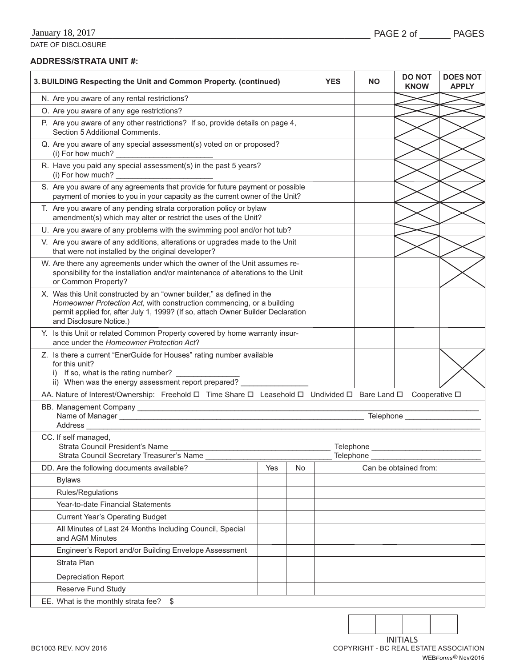DATE OF DISCLOSURE

## **ADDRESS/STRATA UNIT #:**

| 3. BUILDING Respecting the Unit and Common Property. (continued)                                                                                                                                                                                              | <b>YES</b> | <b>NO</b> | <b>DO NOT</b><br><b>KNOW</b> | <b>DOES NOT</b><br><b>APPLY</b> |  |  |
|---------------------------------------------------------------------------------------------------------------------------------------------------------------------------------------------------------------------------------------------------------------|------------|-----------|------------------------------|---------------------------------|--|--|
| N. Are you aware of any rental restrictions?                                                                                                                                                                                                                  |            |           |                              |                                 |  |  |
| O. Are you aware of any age restrictions?                                                                                                                                                                                                                     |            |           |                              |                                 |  |  |
| P. Are you aware of any other restrictions? If so, provide details on page 4,<br>Section 5 Additional Comments.                                                                                                                                               |            |           |                              |                                 |  |  |
| Q. Are you aware of any special assessment(s) voted on or proposed?<br>(i) For how much?<br><u> 1989 - Johann Barnett, fransk politiker (</u>                                                                                                                 |            |           |                              |                                 |  |  |
| R. Have you paid any special assessment(s) in the past 5 years?<br>(i) For how much?                                                                                                                                                                          |            |           |                              |                                 |  |  |
| S. Are you aware of any agreements that provide for future payment or possible<br>payment of monies to you in your capacity as the current owner of the Unit?                                                                                                 |            |           |                              |                                 |  |  |
| T. Are you aware of any pending strata corporation policy or bylaw<br>amendment(s) which may alter or restrict the uses of the Unit?                                                                                                                          |            |           |                              |                                 |  |  |
| U. Are you aware of any problems with the swimming pool and/or hot tub?                                                                                                                                                                                       |            |           |                              |                                 |  |  |
| V. Are you aware of any additions, alterations or upgrades made to the Unit<br>that were not installed by the original developer?                                                                                                                             |            |           |                              |                                 |  |  |
| W. Are there any agreements under which the owner of the Unit assumes re-<br>sponsibility for the installation and/or maintenance of alterations to the Unit<br>or Common Property?                                                                           |            |           |                              |                                 |  |  |
| X. Was this Unit constructed by an "owner builder," as defined in the<br>Homeowner Protection Act, with construction commencing, or a building<br>permit applied for, after July 1, 1999? (If so, attach Owner Builder Declaration<br>and Disclosure Notice.) |            |           |                              |                                 |  |  |
| Y. Is this Unit or related Common Property covered by home warranty insur-<br>ance under the Homeowner Protection Act?                                                                                                                                        |            |           |                              |                                 |  |  |
| Z. Is there a current "EnerGuide for Houses" rating number available<br>for this unit?<br>If so, what is the rating number?<br>i)<br>ii) When was the energy assessment report prepared?                                                                      |            |           |                              |                                 |  |  |
| AA. Nature of Interest/Ownership: Freehold □ Time Share □ Leasehold □ Undivided □ Bare Land □ Cooperative □                                                                                                                                                   |            |           |                              |                                 |  |  |
| Address<br><u> 1989 - Johann Barn, mars ann an t-Amhair ann an t-Amhair ann an t-Amhair ann an t-Amhair ann an t-Amhair ann an t-Amhair ann an t-Amhair ann an t-Amhair ann an t-Amhair ann an t-Amhair ann an t-Amhair ann an t-Amhair ann</u>               |            |           |                              |                                 |  |  |
| CC. If self managed,<br>Strata Council President's Name<br>Telephone<br>Strata Council Secretary Treasurer's Name<br>Telephone                                                                                                                                |            |           |                              |                                 |  |  |
| DD. Are the following documents available?<br>Yes<br>No                                                                                                                                                                                                       |            |           | Can be obtained from:        |                                 |  |  |
| <b>Bylaws</b>                                                                                                                                                                                                                                                 |            |           |                              |                                 |  |  |
| Rules/Regulations                                                                                                                                                                                                                                             |            |           |                              |                                 |  |  |
| Year-to-date Financial Statements                                                                                                                                                                                                                             |            |           |                              |                                 |  |  |
| <b>Current Year's Operating Budget</b>                                                                                                                                                                                                                        |            |           |                              |                                 |  |  |
| All Minutes of Last 24 Months Including Council, Special<br>and AGM Minutes                                                                                                                                                                                   |            |           |                              |                                 |  |  |
| Engineer's Report and/or Building Envelope Assessment                                                                                                                                                                                                         |            |           |                              |                                 |  |  |
| Strata Plan                                                                                                                                                                                                                                                   |            |           |                              |                                 |  |  |
| <b>Depreciation Report</b>                                                                                                                                                                                                                                    |            |           |                              |                                 |  |  |
| Reserve Fund Study                                                                                                                                                                                                                                            |            |           |                              |                                 |  |  |
| EE. What is the monthly strata fee?<br>\$                                                                                                                                                                                                                     |            |           |                              |                                 |  |  |

BC1003 REV. NOV 2016 COPYRIGHT - BC REAL ESTATE ASSOCIATION INITIALS WEB*Forms* ® Nov/2016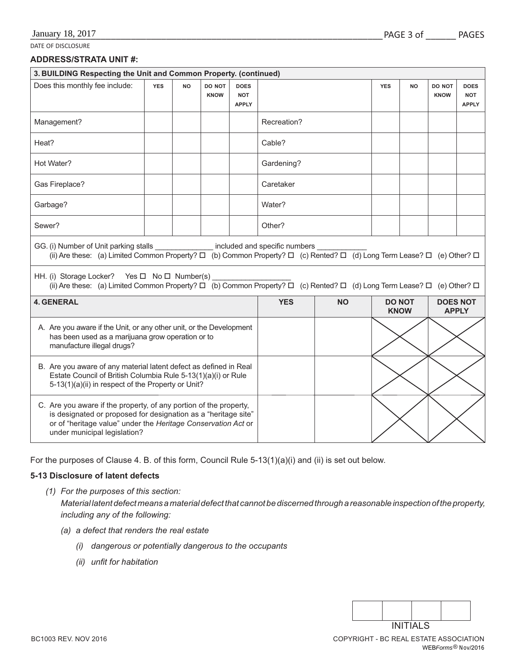DATE OF DISCLOSURE

#### **ADDRESS/STRATA UNIT #:**

| 3. BUILDING Respecting the Unit and Common Property. (continued)                                                                                                                                                                                                                                                                                                                                                                                      |            |           |                       |                                           |             |                              |                                 |           |                       |                                           |
|-------------------------------------------------------------------------------------------------------------------------------------------------------------------------------------------------------------------------------------------------------------------------------------------------------------------------------------------------------------------------------------------------------------------------------------------------------|------------|-----------|-----------------------|-------------------------------------------|-------------|------------------------------|---------------------------------|-----------|-----------------------|-------------------------------------------|
| Does this monthly fee include:                                                                                                                                                                                                                                                                                                                                                                                                                        | <b>YES</b> | <b>NO</b> | DO NOT<br><b>KNOW</b> | <b>DOES</b><br><b>NOT</b><br><b>APPLY</b> |             |                              | <b>YES</b>                      | <b>NO</b> | DO NOT<br><b>KNOW</b> | <b>DOES</b><br><b>NOT</b><br><b>APPLY</b> |
| Management?                                                                                                                                                                                                                                                                                                                                                                                                                                           |            |           |                       |                                           | Recreation? |                              |                                 |           |                       |                                           |
| Heat?                                                                                                                                                                                                                                                                                                                                                                                                                                                 |            |           |                       |                                           | Cable?      |                              |                                 |           |                       |                                           |
| Hot Water?                                                                                                                                                                                                                                                                                                                                                                                                                                            |            |           |                       |                                           | Gardening?  |                              |                                 |           |                       |                                           |
| Gas Fireplace?                                                                                                                                                                                                                                                                                                                                                                                                                                        |            |           |                       |                                           | Caretaker   |                              |                                 |           |                       |                                           |
| Garbage?                                                                                                                                                                                                                                                                                                                                                                                                                                              |            |           |                       |                                           | Water?      |                              |                                 |           |                       |                                           |
| Sewer?                                                                                                                                                                                                                                                                                                                                                                                                                                                |            |           |                       |                                           | Other?      |                              |                                 |           |                       |                                           |
| GG. (i) Number of Unit parking stalls _________________ included and specific numbers ______________________<br>(ii) Are these: (a) Limited Common Property? $\Box$ (b) Common Property? $\Box$ (c) Rented? $\Box$ (d) Long Term Lease?<br>HH. (i) Storage Locker? Yes $\Box$ No $\Box$ Number(s)<br>(ii) Are these: (a) Limited Common Property? $\Box$ (b) Common Property? $\Box$ (c) Rented? $\Box$ (d) Long Term Lease? $\Box$ (e) Other? $\Box$ |            |           |                       |                                           |             |                              |                                 |           |                       |                                           |
| <b>4. GENERAL</b>                                                                                                                                                                                                                                                                                                                                                                                                                                     |            |           | <b>YES</b>            | <b>NO</b>                                 |             | <b>DO NOT</b><br><b>KNOW</b> | <b>DOES NOT</b><br><b>APPLY</b> |           |                       |                                           |
| A. Are you aware if the Unit, or any other unit, or the Development<br>has been used as a marijuana grow operation or to<br>manufacture illegal drugs?                                                                                                                                                                                                                                                                                                |            |           |                       |                                           |             |                              |                                 |           |                       |                                           |
| B. Are you aware of any material latent defect as defined in Real<br>Estate Council of British Columbia Rule 5-13(1)(a)(i) or Rule<br>5-13(1)(a)(ii) in respect of the Property or Unit?                                                                                                                                                                                                                                                              |            |           |                       |                                           |             |                              |                                 |           |                       |                                           |
| C. Are you aware if the property, of any portion of the property,<br>is designated or proposed for designation as a "heritage site"<br>or of "heritage value" under the Heritage Conservation Act or<br>under municipal legislation?                                                                                                                                                                                                                  |            |           |                       |                                           |             |                              |                                 |           |                       |                                           |

For the purposes of Clause 4. B. of this form, Council Rule 5-13(1)(a)(i) and (ii) is set out below.

## **5-13 Disclosure of latent defects**

- *(1) For the purposes of this section: Material latent defect means a material defect that cannot be discerned through a reasonable inspection of the property, including any of the following:*
	- *(a) a defect that renders the real estate*
		- *(i) dangerous or potentially dangerous to the occupants*
		- *(ii)* unfit for habitation